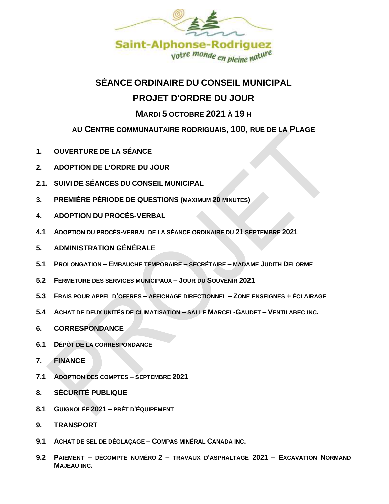

## **SÉANCE ORDINAIRE DU CONSEIL MUNICIPAL**

# **PROJET D'ORDRE DU JOUR**

## **MARDI 5 OCTOBRE 2021 À 19 H**

## **AU CENTRE COMMUNAUTAIRE RODRIGUAIS, 100, RUE DE LA PLAGE**

- **1. OUVERTURE DE LA SÉANCE**
- **2. ADOPTION DE L'ORDRE DU JOUR**
- **2.1. SUIVI DE SÉANCES DU CONSEIL MUNICIPAL**
- **3. PREMIÈRE PÉRIODE DE QUESTIONS (MAXIMUM 20 MINUTES)**
- **4. ADOPTION DU PROCÈS-VERBAL**
- **4.1 ADOPTION DU PROCÈS-VERBAL DE LA SÉANCE ORDINAIRE DU 21 SEPTEMBRE 2021**
- **5. ADMINISTRATION GÉNÉRALE**
- **5.1 PROLONGATION – EMBAUCHE TEMPORAIRE – SECRÉTAIRE – MADAME JUDITH DELORME**
- **5.2 FERMETURE DES SERVICES MUNICIPAUX – JOUR DU SOUVENIR 2021**
- **5.3 FRAIS POUR APPEL D'OFFRES – AFFICHAGE DIRECTIONNEL – ZONE ENSEIGNES + ÉCLAIRAGE**
- **5.4 ACHAT DE DEUX UNITÉS DE CLIMATISATION – SALLE MARCEL-GAUDET – VENTILABEC INC.**
- **6. CORRESPONDANCE**
- **6.1 DÉPÔT DE LA CORRESPONDANCE**
- **7. FINANCE**
- **7.1 ADOPTION DES COMPTES – SEPTEMBRE 2021**
- **8. SÉCURITÉ PUBLIQUE**
- **8.1 GUIGNOLÉE 2021 – PRÊT D'ÉQUIPEMENT**
- **9. TRANSPORT**
- **9.1 ACHAT DE SEL DE DÉGLAÇAGE – COMPAS MINÉRAL CANADA INC.**
- **9.2 PAIEMENT – DÉCOMPTE NUMÉRO 2 – TRAVAUX D'ASPHALTAGE 2021 – EXCAVATION NORMAND MAJEAU INC.**